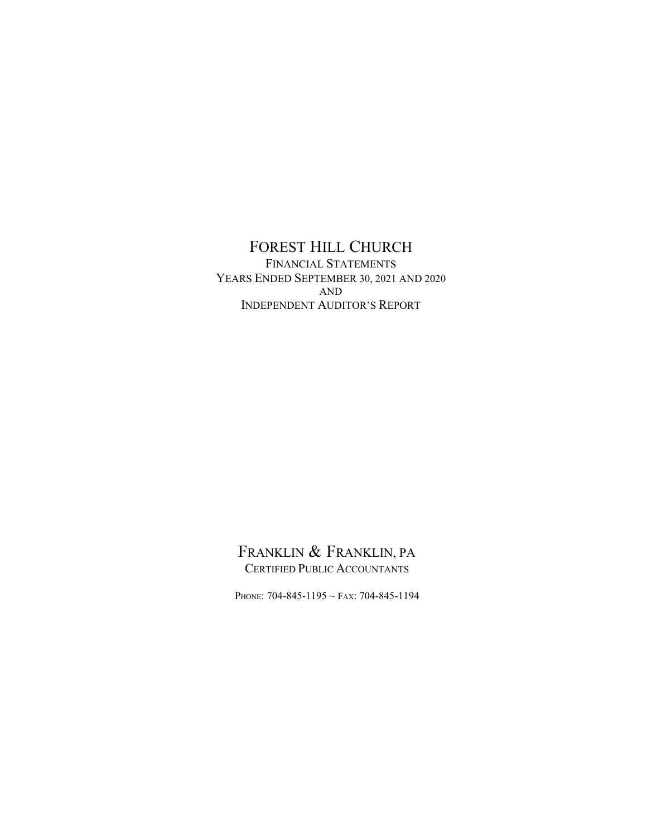FOREST HILL CHURCH FINANCIAL STATEMENTS YEARS ENDED SEPTEMBER 30, 2021 AND 2020 AND INDEPENDENT AUDITOR'S REPORT

# FRANKLIN & FRANKLIN, PA. CERTIFIED PUBLIC ACCOUNTANTS

PHONE: 704-845-1195 ~ FAX: 704-845-1194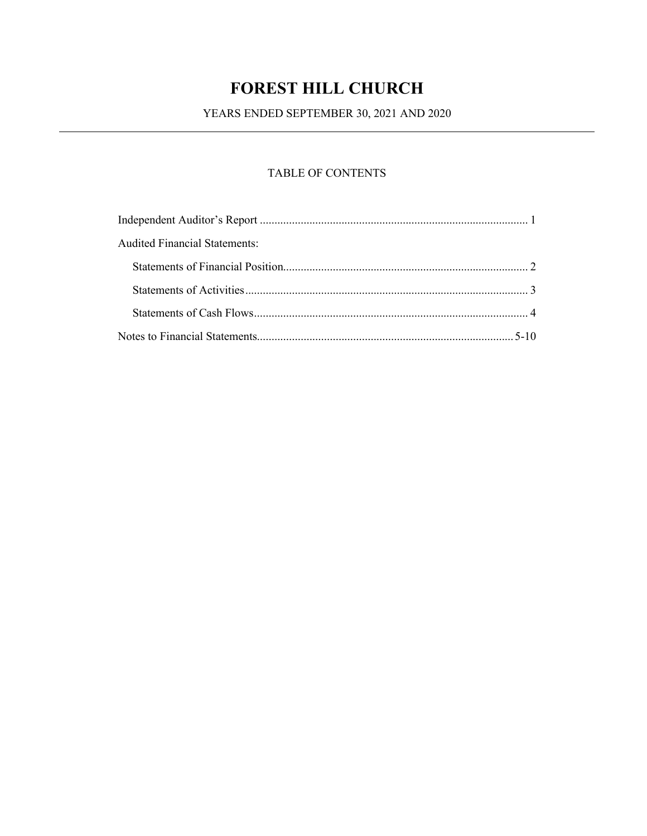YEARS ENDED SEPTEMBER 30, 2021 AND 2020

# TABLE OF CONTENTS

| Audited Financial Statements: |  |
|-------------------------------|--|
|                               |  |
|                               |  |
|                               |  |
|                               |  |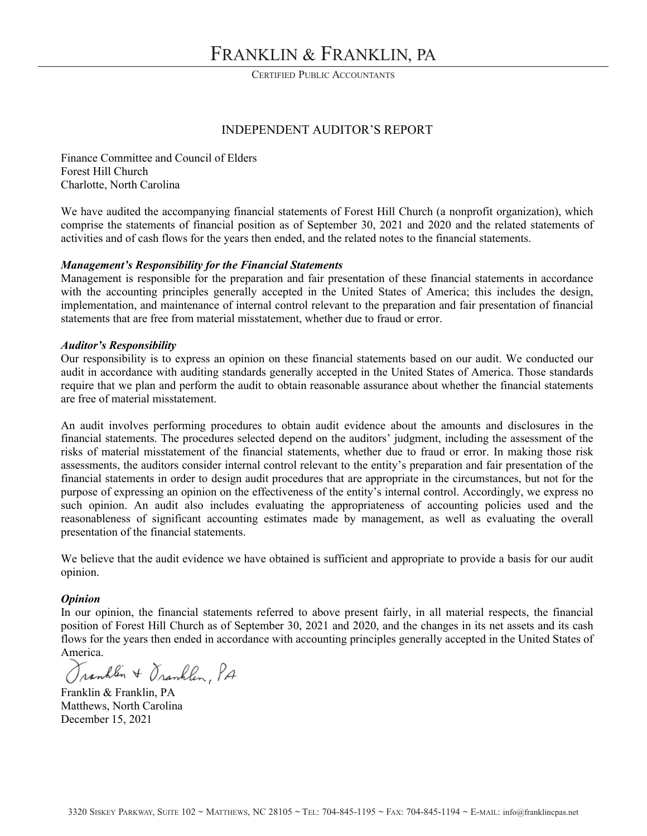CERTIFIED PUBLIC ACCOUNTANTS

### INDEPENDENT AUDITOR'S REPORT

Finance Committee and Council of Elders Forest Hill Church Charlotte, North Carolina

We have audited the accompanying financial statements of Forest Hill Church (a nonprofit organization), which comprise the statements of financial position as of September 30, 2021 and 2020 and the related statements of activities and of cash flows for the years then ended, and the related notes to the financial statements.

#### Management's Responsibility for the Financial Statements

Management is responsible for the preparation and fair presentation of these financial statements in accordance with the accounting principles generally accepted in the United States of America; this includes the design, implementation, and maintenance of internal control relevant to the preparation and fair presentation of financial statements that are free from material misstatement, whether due to fraud or error.

#### **Auditor's Responsibility**

Our responsibility is to express an opinion on these financial statements based on our audit. We conducted our audit in accordance with auditing standards generally accepted in the United States of America. Those standards require that we plan and perform the audit to obtain reasonable assurance about whether the financial statements are free of material misstatement.

An audit involves performing procedures to obtain audit evidence about the amounts and disclosures in the financial statements. The procedures selected depend on the auditors' judgment, including the assessment of the risks of material misstatement of the financial statements, whether due to fraud or error. In making those risk assessments, the auditors consider internal control relevant to the entity's preparation and fair presentation of the financial statements in order to design audit procedures that are appropriate in the circumstances, but not for the purpose of expressing an opinion on the effectiveness of the entity's internal control. Accordingly, we express no such opinion. An audit also includes evaluating the appropriateness of accounting policies used and the reasonableness of significant accounting estimates made by management, as well as evaluating the overall presentation of the financial statements.

We believe that the audit evidence we have obtained is sufficient and appropriate to provide a basis for our audit opinion.

#### **Opinion**

In our opinion, the financial statements referred to above present fairly, in all material respects, the financial position of Forest Hill Church as of September 30, 2021 and 2020, and the changes in its net assets and its cash flows for the years then ended in accordance with accounting principles generally accepted in the United States of America.

Tranhlin + Oranhlin, PA

Franklin & Franklin, PA Matthews, North Carolina December 15, 2021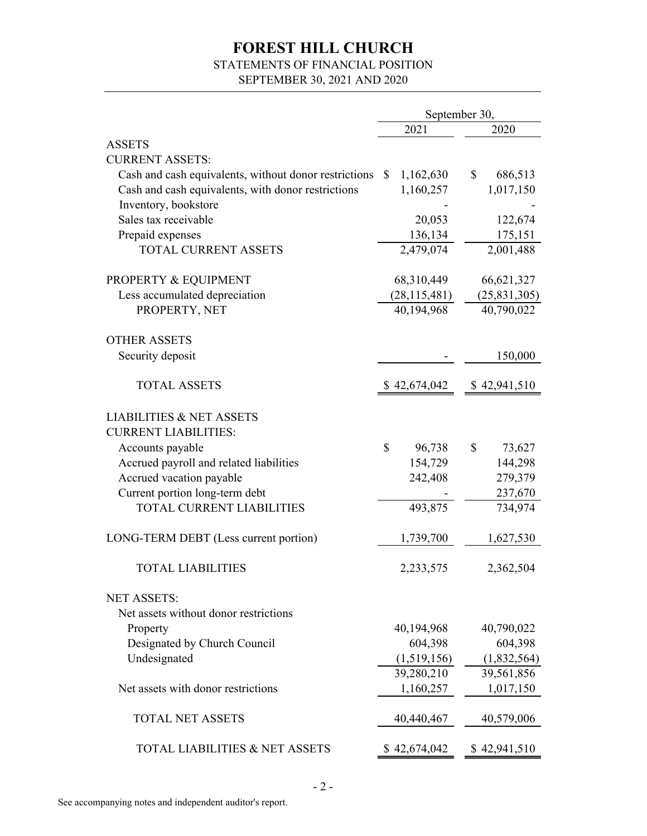# STATEMENTS OF FINANCIAL POSITION

SEPTEMBER 30, 2021 AND 2020

|                                                       | September 30, |                |    |                |
|-------------------------------------------------------|---------------|----------------|----|----------------|
|                                                       |               | 2021           |    | 2020           |
| <b>ASSETS</b>                                         |               |                |    |                |
| <b>CURRENT ASSETS:</b>                                |               |                |    |                |
| Cash and cash equivalents, without donor restrictions | S.            | 1,162,630      | \$ | 686,513        |
| Cash and cash equivalents, with donor restrictions    |               | 1,160,257      |    | 1,017,150      |
| Inventory, bookstore                                  |               |                |    |                |
| Sales tax receivable                                  |               | 20,053         |    | 122,674        |
| Prepaid expenses                                      |               | 136,134        |    | 175,151        |
| <b>TOTAL CURRENT ASSETS</b>                           |               | 2,479,074      |    | 2,001,488      |
| PROPERTY & EQUIPMENT                                  |               | 68,310,449     |    | 66,621,327     |
| Less accumulated depreciation                         |               | (28, 115, 481) |    | (25, 831, 305) |
| PROPERTY, NET                                         |               | 40,194,968     |    | 40,790,022     |
| <b>OTHER ASSETS</b>                                   |               |                |    |                |
| Security deposit                                      |               |                |    | 150,000        |
| <b>TOTAL ASSETS</b>                                   |               | \$42,674,042   |    | \$42,941,510   |
| <b>LIABILITIES &amp; NET ASSETS</b>                   |               |                |    |                |
| <b>CURRENT LIABILITIES:</b>                           |               |                |    |                |
| Accounts payable                                      | \$            | 96,738         | \$ | 73,627         |
| Accrued payroll and related liabilities               |               | 154,729        |    | 144,298        |
| Accrued vacation payable                              |               | 242,408        |    | 279,379        |
| Current portion long-term debt                        |               |                |    | 237,670        |
| <b>TOTAL CURRENT LIABILITIES</b>                      |               | 493,875        |    | 734,974        |
| LONG-TERM DEBT (Less current portion)                 |               | 1,739,700      |    | 1,627,530      |
| <b>TOTAL LIABILITIES</b>                              |               | 2,233,575      |    | 2,362,504      |
| <b>NET ASSETS:</b>                                    |               |                |    |                |
| Net assets without donor restrictions                 |               |                |    |                |
| Property                                              |               | 40,194,968     |    | 40,790,022     |
| Designated by Church Council                          |               | 604,398        |    | 604,398        |
| Undesignated                                          |               | (1,519,156)    |    | (1,832,564)    |
|                                                       |               | 39,280,210     |    | 39,561,856     |
| Net assets with donor restrictions                    |               | 1,160,257      |    | 1,017,150      |
| <b>TOTAL NET ASSETS</b>                               |               | 40,440,467     |    | 40,579,006     |
| <b>TOTAL LIABILITIES &amp; NET ASSETS</b>             |               | \$42,674,042   |    | \$42,941,510   |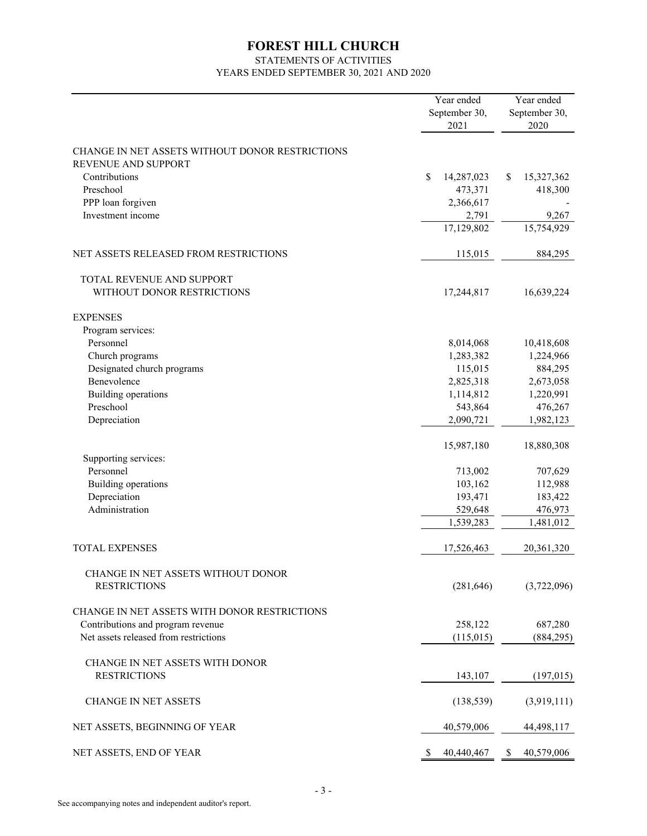# STATEMENTS OF ACTIVITIES YEARS ENDED SEPTEMBER 30, 2021 AND 2020

|                                                                        | Year ended<br>September 30, | Year ended<br>September 30, |  |
|------------------------------------------------------------------------|-----------------------------|-----------------------------|--|
|                                                                        | 2021                        | 2020                        |  |
| CHANGE IN NET ASSETS WITHOUT DONOR RESTRICTIONS<br>REVENUE AND SUPPORT |                             |                             |  |
| Contributions                                                          | \$<br>14,287,023            | 15,327,362<br>\$            |  |
| Preschool                                                              | 473,371                     | 418,300                     |  |
| PPP loan forgiven                                                      | 2,366,617                   |                             |  |
| Investment income                                                      | 2,791                       | 9,267                       |  |
|                                                                        | 17,129,802                  | 15,754,929                  |  |
| NET ASSETS RELEASED FROM RESTRICTIONS                                  | 115,015                     | 884,295                     |  |
| TOTAL REVENUE AND SUPPORT                                              |                             |                             |  |
| WITHOUT DONOR RESTRICTIONS                                             | 17,244,817                  | 16,639,224                  |  |
| <b>EXPENSES</b>                                                        |                             |                             |  |
| Program services:                                                      |                             |                             |  |
| Personnel                                                              | 8,014,068                   | 10,418,608                  |  |
| Church programs                                                        | 1,283,382                   | 1,224,966                   |  |
| Designated church programs                                             | 115,015                     | 884,295                     |  |
| Benevolence                                                            | 2,825,318                   | 2,673,058                   |  |
| Building operations                                                    | 1,114,812                   | 1,220,991                   |  |
| Preschool                                                              | 543,864                     | 476,267                     |  |
| Depreciation                                                           | 2,090,721                   | 1,982,123                   |  |
|                                                                        | 15,987,180                  | 18,880,308                  |  |
| Supporting services:                                                   |                             |                             |  |
| Personnel                                                              | 713,002                     | 707,629                     |  |
| Building operations                                                    | 103,162                     | 112,988                     |  |
| Depreciation                                                           | 193,471                     | 183,422                     |  |
| Administration                                                         | 529,648                     | 476,973                     |  |
|                                                                        | 1,539,283                   | 1,481,012                   |  |
| <b>TOTAL EXPENSES</b>                                                  | 17,526,463                  | 20,361,320                  |  |
| CHANGE IN NET ASSETS WITHOUT DONOR                                     |                             |                             |  |
| <b>RESTRICTIONS</b>                                                    | (281, 646)                  | (3,722,096)                 |  |
| CHANGE IN NET ASSETS WITH DONOR RESTRICTIONS                           |                             |                             |  |
| Contributions and program revenue                                      | 258,122                     | 687,280                     |  |
| Net assets released from restrictions                                  | (115,015)                   | (884, 295)                  |  |
| CHANGE IN NET ASSETS WITH DONOR                                        |                             |                             |  |
| <b>RESTRICTIONS</b>                                                    | 143,107                     | (197,015)                   |  |
|                                                                        |                             |                             |  |
| <b>CHANGE IN NET ASSETS</b>                                            | (138, 539)                  | (3,919,111)                 |  |
| NET ASSETS, BEGINNING OF YEAR                                          | 40,579,006                  | 44,498,117                  |  |
| NET ASSETS, END OF YEAR                                                | \$<br>40,440,467            | 40,579,006<br>\$            |  |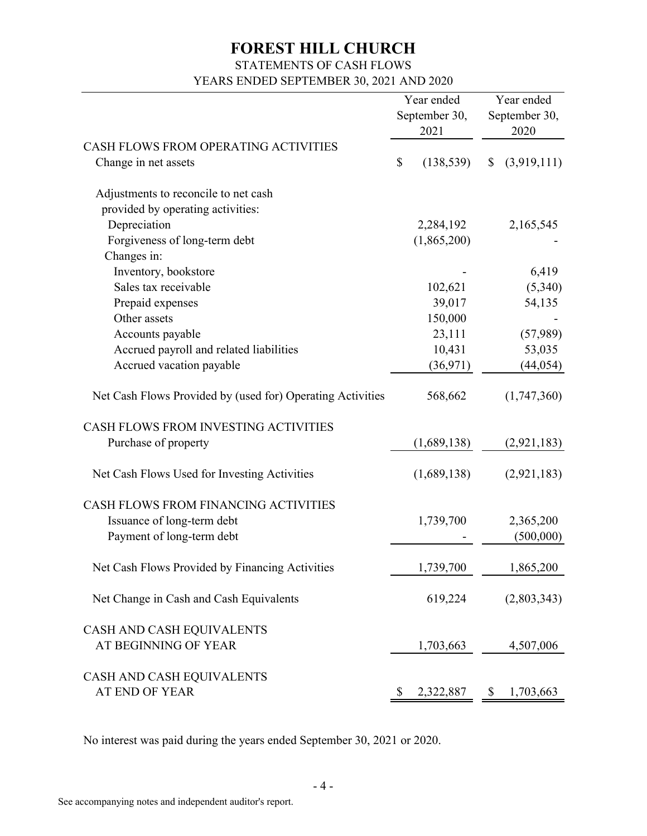# STATEMENTS OF CASH FLOWS

YEARS ENDED SEPTEMBER 30, 2021 AND 2020

|                                                                                                    |    | Year ended<br>September 30,<br>2021 | Year ended<br>September 30,<br>2020 |             |  |
|----------------------------------------------------------------------------------------------------|----|-------------------------------------|-------------------------------------|-------------|--|
| CASH FLOWS FROM OPERATING ACTIVITIES<br>Change in net assets                                       | \$ | (138, 539)                          | \$                                  | (3,919,111) |  |
| Adjustments to reconcile to net cash                                                               |    |                                     |                                     |             |  |
| provided by operating activities:                                                                  |    |                                     |                                     |             |  |
| Depreciation                                                                                       |    | 2,284,192                           |                                     | 2,165,545   |  |
| Forgiveness of long-term debt                                                                      |    | (1,865,200)                         |                                     |             |  |
| Changes in:                                                                                        |    |                                     |                                     |             |  |
| Inventory, bookstore                                                                               |    |                                     |                                     | 6,419       |  |
| Sales tax receivable                                                                               |    | 102,621                             |                                     | (5,340)     |  |
| Prepaid expenses                                                                                   |    | 39,017                              |                                     | 54,135      |  |
| Other assets                                                                                       |    | 150,000                             |                                     |             |  |
| Accounts payable                                                                                   |    | 23,111                              |                                     | (57,989)    |  |
| Accrued payroll and related liabilities                                                            |    | 10,431                              |                                     | 53,035      |  |
| Accrued vacation payable                                                                           |    | (36, 971)                           |                                     | (44, 054)   |  |
| Net Cash Flows Provided by (used for) Operating Activities<br>CASH FLOWS FROM INVESTING ACTIVITIES |    | 568,662                             |                                     | (1,747,360) |  |
| Purchase of property                                                                               |    | (1,689,138)                         |                                     | (2,921,183) |  |
|                                                                                                    |    |                                     |                                     |             |  |
| Net Cash Flows Used for Investing Activities                                                       |    | (1,689,138)                         |                                     | (2,921,183) |  |
| CASH FLOWS FROM FINANCING ACTIVITIES                                                               |    |                                     |                                     |             |  |
| Issuance of long-term debt                                                                         |    | 1,739,700                           |                                     | 2,365,200   |  |
| Payment of long-term debt                                                                          |    |                                     |                                     | (500,000)   |  |
| Net Cash Flows Provided by Financing Activities                                                    |    | 1,739,700                           |                                     | 1,865,200   |  |
| Net Change in Cash and Cash Equivalents                                                            |    | 619,224                             |                                     | (2,803,343) |  |
| CASH AND CASH EQUIVALENTS<br>AT BEGINNING OF YEAR                                                  |    | 1,703,663                           |                                     | 4,507,006   |  |
| CASH AND CASH EQUIVALENTS<br>AT END OF YEAR                                                        | S. | 2,322,887                           | \$                                  | 1,703,663   |  |

No interest was paid during the years ended September 30, 2021 or 2020.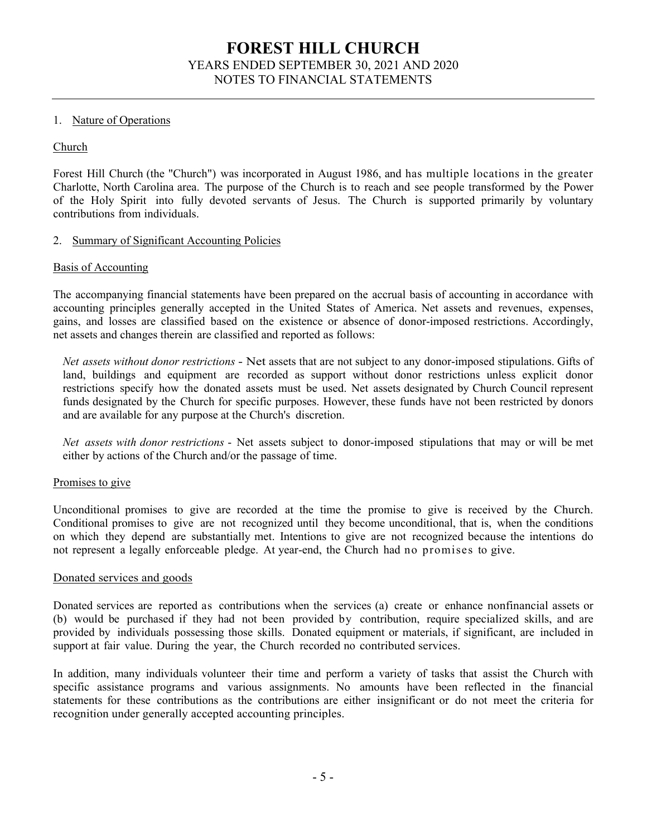### 1. Nature of Operations

### Church

Forest Hill Church (the "Church") was incorporated in August 1986, and has multiple locations in the greater Charlotte, North Carolina area. The purpose of the Church is to reach and see people transformed by the Power of the Holy Spirit into fully devoted servants of Jesus. The Church is supported primarily by voluntary contributions from individuals.

### 2. Summary of Significant Accounting Policies

#### Basis of Accounting

The accompanying financial statements have been prepared on the accrual basis of accounting in accordance with accounting principles generally accepted in the United States of America. Net assets and revenues, expenses, gains, and losses are classified based on the existence or absence of donor-imposed restrictions. Accordingly, net assets and changes therein are classified and reported as follows:

Net assets without donor restrictions - Net assets that are not subject to any donor-imposed stipulations. Gifts of land, buildings and equipment are recorded as support without donor restrictions unless explicit donor restrictions specify how the donated assets must be used. Net assets designated by Church Council represent funds designated by the Church for specific purposes. However, these funds have not been restricted by donors and are available for any purpose at the Church's discretion.

Net assets with donor restrictions - Net assets subject to donor-imposed stipulations that may or will be met either by actions of the Church and/or the passage of time.

#### Promises to give

Unconditional promises to give are recorded at the time the promise to give is received by the Church. Conditional promises to give are not recognized until they become unconditional, that is, when the conditions on which they depend are substantially met. Intentions to give are not recognized because the intentions do not represent a legally enforceable pledge. At year-end, the Church had no promises to give.

#### Donated services and goods

Donated services are reported as contributions when the services (a) create or enhance nonfinancial assets or (b) would be purchased if they had not been provided by contribution, require specialized skills, and are provided by individuals possessing those skills. Donated equipment or materials, if significant, are included in support at fair value. During the year, the Church recorded no contributed services.

In addition, many individuals volunteer their time and perform a variety of tasks that assist the Church with specific assistance programs and various assignments. No amounts have been reflected in the financial statements for these contributions as the contributions are either insignificant or do not meet the criteria for recognition under generally accepted accounting principles.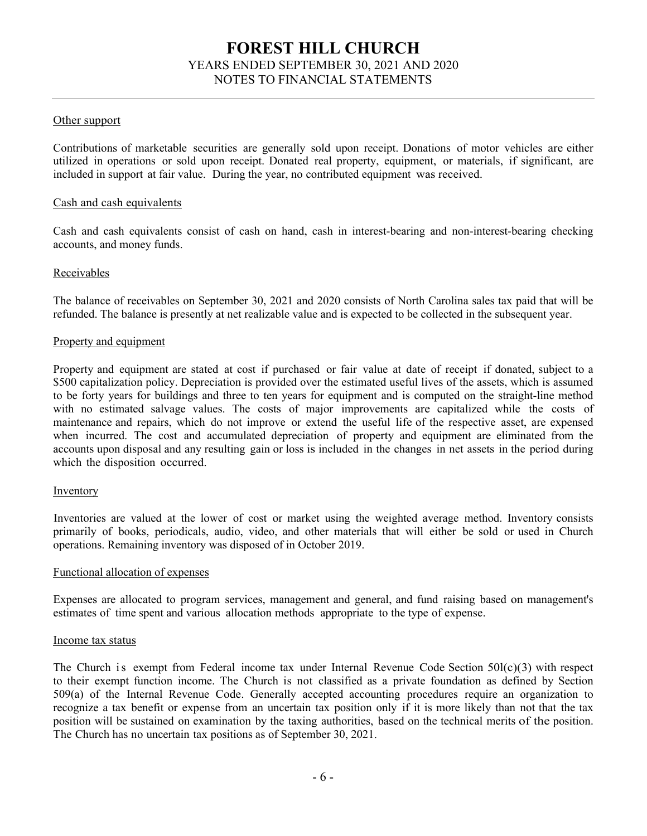### Other support

Contributions of marketable securities are generally sold upon receipt. Donations of motor vehicles are either utilized in operations or sold upon receipt. Donated real property, equipment, or materials, if significant, are included in support at fair value. During the year, no contributed equipment was received.

#### Cash and cash equivalents

Cash and cash equivalents consist of cash on hand, cash in interest-bearing and non-interest-bearing checking accounts, and money funds.

#### Receivables

The balance of receivables on September 30, 2021 and 2020 consists of North Carolina sales tax paid that will be refunded. The balance is presently at net realizable value and is expected to be collected in the subsequent year.

#### Property and equipment

Property and equipment are stated at cost if purchased or fair value at date of receipt if donated, subject to a L500 capitalization policy. Depreciation is provided over the estimated useful lives of the assets, which is assumed to be forty years for buildings and three to ten years for equipment and is computed on the straight-line method with no estimated salvage values. The costs of major improvements are capitalized while the costs of maintenance and repairs, which do not improve or extend the useful life of the respective asset, are expensed when incurred. The cost and accumulated depreciation of property and equipment are eliminated from the accounts upon disposal and any resulting gain or loss is included in the changes in net assets in the period during which the disposition occurred.

#### **Inventory**

Inventories are valued at the lower of cost or market using the weighted average method. Inventory consists primarily of books, periodicals, audio, video, and other materials that will either be sold or used in Church operations. Remaining inventory was disposed of in October 2019.

#### Functional allocation of expenses

Expenses are allocated to program services, management and general, and fund raising based on management's estimates of time spent and various allocation methods appropriate to the type of expense.

#### Income tax status

The Church is exempt from Federal income tax under Internal Revenue Code Section  $50I(c)(3)$  with respect to their exempt function income. The Church is not classified as a private foundation as defined by Section 509(a) of the Internal Revenue Code. Generally accepted accounting procedures require an organization to recognize a tax benefit or expense from an uncertain tax position only if it is more likely than not that the tax position will be sustained on examination by the taxing authorities, based on the technical merits of the position. The Church has no uncertain tax positions as of September 30, 2021.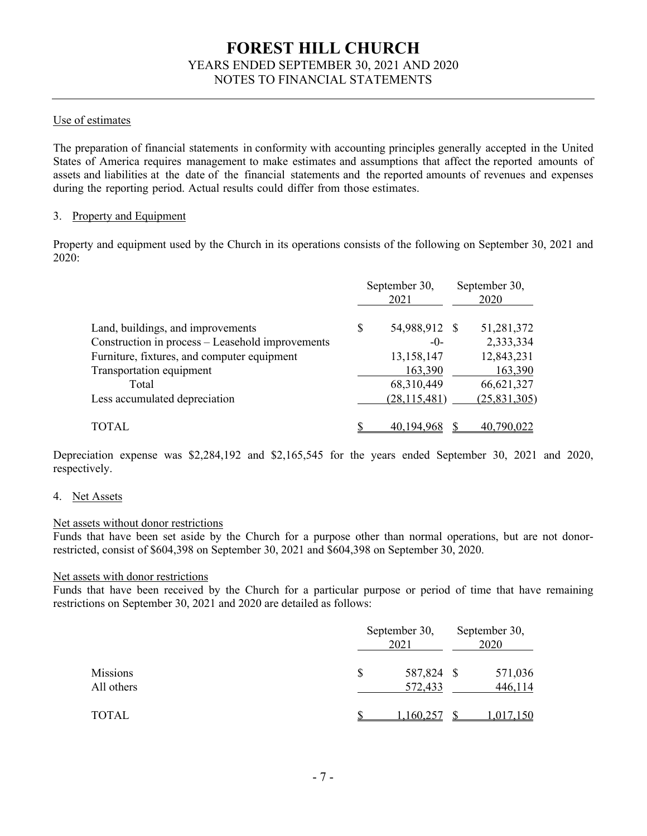## Use of estimates

The preparation of financial statements in conformity with accounting principles generally accepted in the United States of America requires management to make estimates and assumptions that affect the reported amounts of assets and liabilities at the date of the financial statements and the reported amounts of revenues and expenses during the reporting period. Actual results could differ from those estimates.

### 3. Property and Equipment

Property and equipment used by the Church in its operations consists of the following on September 30, 2021 and 2020:

|                                                  |   | September 30,<br>2021 | September 30,<br>2020 |              |  |
|--------------------------------------------------|---|-----------------------|-----------------------|--------------|--|
| Land, buildings, and improvements                | S | 54,988,912 \$         |                       | 51,281,372   |  |
| Construction in process - Leasehold improvements |   | $-0-$                 |                       | 2,333,334    |  |
| Furniture, fixtures, and computer equipment      |   | 13,158,147            |                       | 12,843,231   |  |
| Transportation equipment                         |   | 163,390               |                       | 163,390      |  |
| Total                                            |   | 68,310,449            |                       | 66,621,327   |  |
| Less accumulated depreciation                    |   | (28, 115, 481)        |                       | (25,831,305) |  |
| TOTAL                                            |   | 40,194,968            |                       | 40,790,022   |  |

Depreciation expense was \$2,284,192 and \$2,165,545 for the years ended September 30, 2021 and 2020, respectively.

#### 4. Net Assets

#### Net assets without donor restrictions

Funds that have been set aside by the Church for a purpose other than normal operations, but are not donorrestricted, consist of  $$604,398$  on September 30, 2021 and  $$604,398$  on September 30, 2020.

#### Net assets with donor restrictions

Funds that have been received by the Church for a particular purpose or period of time that have remaining restrictions on September 30, 2021 and 2020 are detailed as follows:

|                        | September 30,<br>2021 |                       |  | September 30,<br>2020 |  |  |
|------------------------|-----------------------|-----------------------|--|-----------------------|--|--|
| Missions<br>All others | \$                    | 587,824 \$<br>572,433 |  | 571,036<br>446,114    |  |  |
| TOTAL                  |                       | 1,160,257             |  | 1,017,150             |  |  |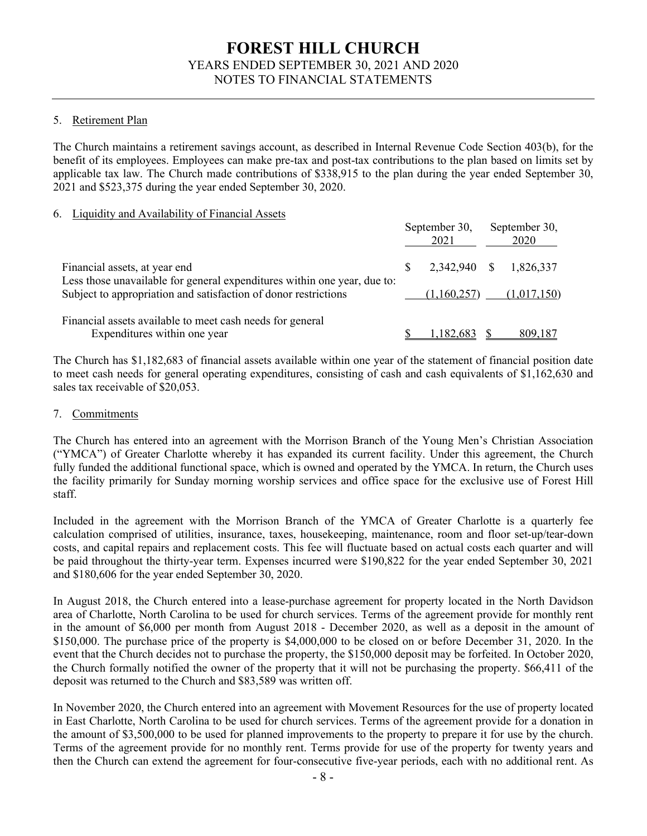## 5. Retirement Plan

The Church maintains a retirement savings account, as described in Internal Revenue Code Section 403(b), for the benefit of its employees. Employees can make pre-tax and post-tax contributions to the plan based on limits set by applicable tax law. The Church made contributions of \$338,915 to the plan during the year ended September 30,  $2021$  and \$523,375 during the year ended September 30, 2020.

### 6. Liquidity and Availability of Financial Assets

|                                                                                                           |    | September 30,<br>2021 | September 30,<br>2020 |
|-----------------------------------------------------------------------------------------------------------|----|-----------------------|-----------------------|
| Financial assets, at year end<br>Less those unavailable for general expenditures within one year, due to: | S. | 2,342,940 \$          | 1,826,337             |
| Subject to appropriation and satisfaction of donor restrictions                                           |    | (1,160,257)           | (1,017,150)           |
| Financial assets available to meet cash needs for general<br>Expenditures within one year                 |    | 1,182,683             | 809,187               |

The Church has \$1,182,683 of financial assets available within one year of the statement of financial position date to meet cash needs for general operating expenditures, consisting of cash and cash equivalents of  $$1,162,630$  and sales tax receivable of \$20,053.

## 7. Commitments

The Church has entered into an agreement with the Morrison Branch of the Young Men's Christian Association ("YMCA") of Greater Charlotte whereby it has expanded its current facility. Under this agreement, the Church fully funded the additional functional space, which is owned and operated by the YMCA. In return, the Church uses the facility primarily for Sunday morning worship services and office space for the exclusive use of Forest Hill staff.

Included in the agreement with the Morrison Branch of the YMCA of Greater Charlotte is a quarterly fee calculation comprised of utilities, insurance, taxes, housekeeping, maintenance, room and floor set-up/tear-down costs, and capital repairs and replacement costs. This fee will fluctuate based on actual costs each quarter and will be paid throughout the thirty-year term. Expenses incurred were \$190,822 for the year ended September 30, 2021 and \$180,606 for the year ended September 30, 2020.

In August 2018, the Church entered into a lease-purchase agreement for property located in the North Davidson area of Charlotte, North Carolina to be used for church services. Terms of the agreement provide for monthly rent in the amount of  $$6,000$  per month from August 2018 - December 2020, as well as a deposit in the amount of  $$150,000$ . The purchase price of the property is  $$4,000,000$  to be closed on or before December 31, 2020. In the event that the Church decides not to purchase the property, the \$150,000 deposit may be forfeited. In October 2020, the Church formally notified the owner of the property that it will not be purchasing the property. \$66,411 of the deposit was returned to the Church and \$83,589 was written off.

In November 2020, the Church entered into an agreement with Movement Resources for the use of property located in East Charlotte, North Carolina to be used for church services. Terms of the agreement provide for a donation in the amount of \$3,500,000 to be used for planned improvements to the property to prepare it for use by the church. Terms of the agreement provide for no monthly rent. Terms provide for use of the property for twenty years and then the Church can extend the agreement for four-consecutive five-year periods, each with no additional rent. As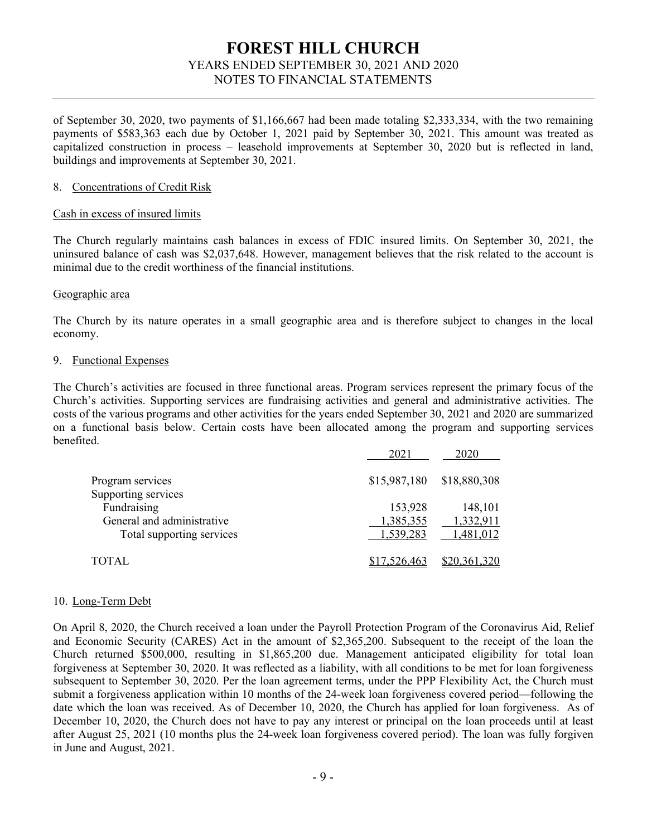of September 30, 2020, two payments of \$1,166,667 had been made totaling \$2,333,334, with the two remaining payments of \$583,363 each due by October 1, 2021 paid by September 30, 2021. This amount was treated as capitalized construction in process – leasehold improvements at September 30, 2020 but is reflected in land, buildings and improvements at September 30, 2021.

#### 8. Concentrations of Credit Risk

#### Cash in excess of insured limits

The Church regularly maintains cash balances in excess of FDIC insured limits. On September 30, 2021, the uninsured balance of cash was \$2,037,648. However, management believes that the risk related to the account is minimal due to the credit worthiness of the financial institutions.

#### Geographic area

The Church by its nature operates in a small geographic area and is therefore subject to changes in the local economy.

#### 9. Functional Expenses

The Church's activities are focused in three functional areas. Program services represent the primary focus of the Church's activities. Supporting services are fundraising activities and general and administrative activities. The costs of the various programs and other activities for the years ended September 30, 2021 and 2020 are summarized on a functional @asis @elow. Certain costs have @een allocated among the program and supporting services benefited.

| 2021         | 2020         |
|--------------|--------------|
| \$15,987,180 | \$18,880,308 |
|              |              |
| 153,928      | 148,101      |
| 1,385,355    | 1,332,911    |
| 1,539,283    | 1,481,012    |
| \$17,526,463 | \$20,361,320 |
|              |              |

#### 10. Long-Term Debt

On April 8, 2020, the Church received a loan under the Payroll Protection Program of the Coronavirus Aid, Relief and Economic Security (CARES) Act in the amount of \$2,365,200. Subsequent to the receipt of the loan the Church returned  $$500,000$ , resulting in  $$1,865,200$  due. Management anticipated eligibility for total loan forgiveness at September 30, 2020. It was reflected as a liability, with all conditions to be met for loan forgiveness subsequent to September 30, 2020. Per the loan agreement terms, under the PPP Flexibility Act, the Church must submit a forgiveness application within 10 months of the 24-week loan forgiveness covered period—following the date which the loan was received. As of December 10, 2020, the Church has applied for loan forgiveness. As of December 10, 2020, the Church does not have to pay any interest or principal on the loan proceeds until at least after August 25, 2021 (10 months plus the 24-week loan forgiveness covered period). The loan was fully forgiven in June and August, 2021.